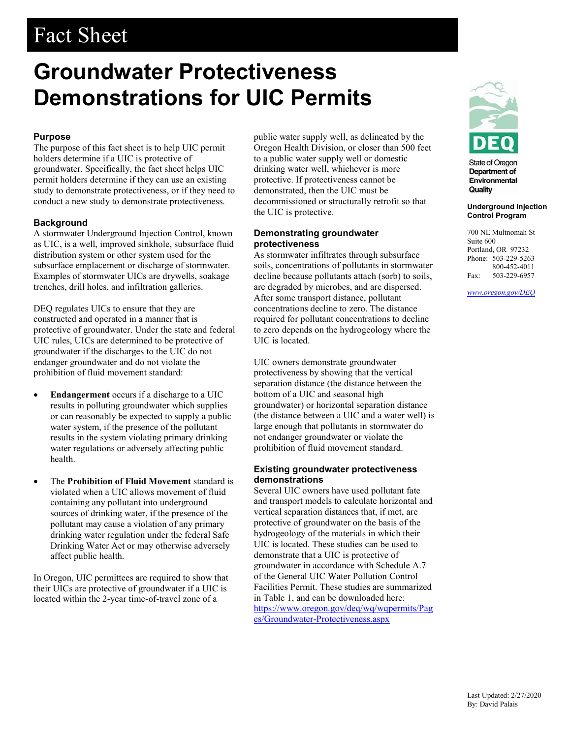# Fact Sheet

# Groundwater Protectiveness Demonstrations for UIC Permits

# Purpose

The purpose of this fact sheet is to help UIC permit holders determine if a UIC is protective of groundwater. Specifically, the fact sheet helps UIC permit holders determine if they can use an existing study to demonstrate protectiveness, or if they need to conduct a new study to demonstrate protectiveness.

# **Background**

A stormwater Underground Injection Control, known as UIC, is a well, improved sinkhole, subsurface fluid distribution system or other system used for the subsurface emplacement or discharge of stormwater. Examples of stormwater UICs are drywells, soakage trenches, drill holes, and infiltration galleries.

DEQ regulates UICs to ensure that they are constructed and operated in a manner that is protective of groundwater. Under the state and federal UIC rules, UICs are determined to be protective of groundwater if the discharges to the UIC do not endanger groundwater and do not violate the prohibition of fluid movement standard:

- Endangerment occurs if a discharge to a UIC results in polluting groundwater which supplies or can reasonably be expected to supply a public water system, if the presence of the pollutant results in the system violating primary drinking water regulations or adversely affecting public health.
- The Prohibition of Fluid Movement standard is violated when a UIC allows movement of fluid containing any pollutant into underground sources of drinking water, if the presence of the pollutant may cause a violation of any primary drinking water regulation under the federal Safe Drinking Water Act or may otherwise adversely affect public health.

In Oregon, UIC permittees are required to show that their UICs are protective of groundwater if a UIC is located within the 2-year time-of-travel zone of a

public water supply well, as delineated by the Oregon Health Division, or closer than 500 feet to a public water supply well or domestic drinking water well, whichever is more protective. If protectiveness cannot be demonstrated, then the UIC must be decommissioned or structurally retrofit so that the UIC is protective.

### Demonstrating groundwater protectiveness

As stormwater infiltrates through subsurface soils, concentrations of pollutants in stormwater decline because pollutants attach (sorb) to soils, are degraded by microbes, and are dispersed. After some transport distance, pollutant concentrations decline to zero. The distance required for pollutant concentrations to decline to zero depends on the hydrogeology where the UIC is located.

UIC owners demonstrate groundwater protectiveness by showing that the vertical separation distance (the distance between the bottom of a UIC and seasonal high groundwater) or horizontal separation distance (the distance between a UIC and a water well) is large enough that pollutants in stormwater do not endanger groundwater or violate the prohibition of fluid movement standard.

# Existing groundwater protectiveness demonstrations

Several UIC owners have used pollutant fate and transport models to calculate horizontal and vertical separation distances that, if met, are protective of groundwater on the basis of the hydrogeology of the materials in which their UIC is located. These studies can be used to demonstrate that a UIC is protective of groundwater in accordance with Schedule A.7 of the General UIC Water Pollution Control Facilities Permit. These studies are summarized in Table 1, and can be downloaded here: https://www.oregon.gov/deq/wq/wqpermits/Pag es/Groundwater-Protectiveness.aspx



**State of Oregon Department of** Environmental Quality

### Underground Injection Control Program

700 NE Multnomah St Suite 600 Portland, OR 97232 Phone: 503-229-5263 800-452-4011 Fax: 503-229-6957

www.oregon.gov/DEQ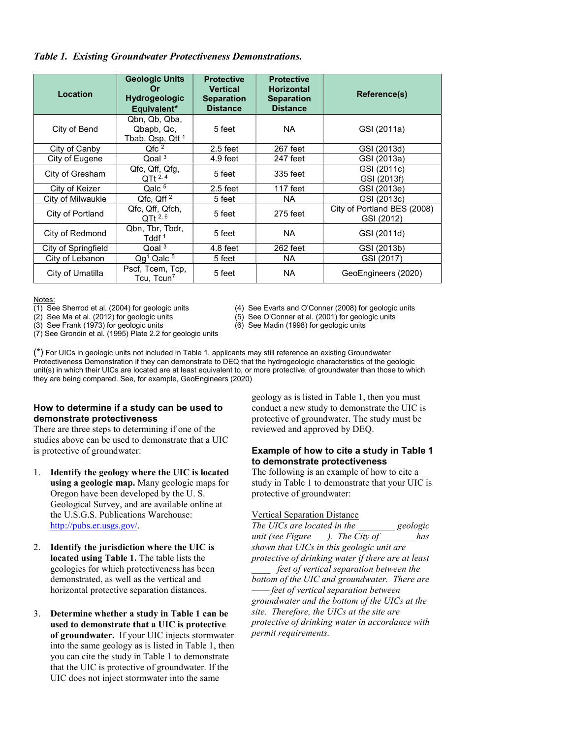Table 1. Existing Groundwater Protectiveness Demonstrations.

| Location            | <b>Geologic Units</b><br>Or<br><b>Hydrogeologic</b><br>Equivalent* | <b>Protective</b><br><b>Vertical</b><br><b>Separation</b><br><b>Distance</b> | <b>Protective</b><br><b>Horizontal</b><br><b>Separation</b><br><b>Distance</b> | Reference(s)                              |
|---------------------|--------------------------------------------------------------------|------------------------------------------------------------------------------|--------------------------------------------------------------------------------|-------------------------------------------|
| City of Bend        | Qbn, Qb, Qba,<br>Qbapb, Qc.<br>Tbab, Qsp, Qtt <sup>1</sup>         | 5 feet                                                                       | NA.                                                                            | GSI (2011a)                               |
| City of Canby       | Qfc <sup>2</sup>                                                   | $2.5$ feet                                                                   | 267 feet                                                                       | GSI (2013d)                               |
| City of Eugene      | $Q$ oal <sup>3</sup>                                               | $4.9$ feet                                                                   | 247 feet                                                                       | GSI (2013a)                               |
| City of Gresham     | Qfc, Qff, Qfq,<br>QTt 2, 4                                         | 5 feet                                                                       | 335 feet                                                                       | GSI (2011c)<br>GSI (2013f)                |
| City of Keizer      | Qalc $\overline{5}$                                                | $2.5$ feet                                                                   | 117 feet                                                                       | GSI (2013e)                               |
| City of Milwaukie   | $Qfc$ , $Qff$ $^2$                                                 | 5 feet                                                                       | <b>NA</b>                                                                      | GSI (2013c)                               |
| City of Portland    | Qfc, Qff, Qfch,<br>$QTt^{2,6}$                                     | 5 feet                                                                       | 275 feet                                                                       | City of Portland BES (2008)<br>GSI (2012) |
| City of Redmond     | Qbn, Tbr, Tbdr,<br>Tddf <sup>1</sup>                               | 5 feet                                                                       | <b>NA</b>                                                                      | GSI (2011d)                               |
| City of Springfield | $\Omega$ oal <sup>3</sup>                                          | $4.8$ feet                                                                   | 262 feet                                                                       | GSI (2013b)                               |
| City of Lebanon     | $Qg1$ Qalc $5$                                                     | 5 feet                                                                       | NA.                                                                            | GSI (2017)                                |
| City of Umatilla    | Pscf, Tcem, Tcp,<br>Tcu, Tcun <sup>7</sup>                         | 5 feet                                                                       | <b>NA</b>                                                                      | GeoEngineers (2020)                       |

Notes:<br>(1) See Sherrod et al. (2004) for geologic units

(2) See Ma et al. (2012) for geologic units (5) See O'Conner et al. (2001) for geologic units

(3) See Frank (1973) for geologic units (6) See Madin (1998) for geologic units

(7) See Grondin et al. (1995) Plate 2.2 for geologic units

(4) See Evarts and O'Conner (2008) for geologic units

(\*) For UICs in geologic units not included in Table 1, applicants may still reference an existing Groundwater Protectiveness Demonstration if they can demonstrate to DEQ that the hydrogeologic characteristics of the geologic unit(s) in which their UICs are located are at least equivalent to, or more protective, of groundwater than those to which they are being compared. See, for example, GeoEngineers (2020)

# How to determine if a study can be used to demonstrate protectiveness

There are three steps to determining if one of the studies above can be used to demonstrate that a UIC is protective of groundwater:

- 1. Identify the geology where the UIC is located using a geologic map. Many geologic maps for Oregon have been developed by the U. S. Geological Survey, and are available online at the U.S.G.S. Publications Warehouse: http://pubs.er.usgs.gov/.
- 2. Identify the jurisdiction where the UIC is located using Table 1. The table lists the geologies for which protectiveness has been demonstrated, as well as the vertical and horizontal protective separation distances.
- 3. Determine whether a study in Table 1 can be used to demonstrate that a UIC is protective of groundwater. If your UIC injects stormwater into the same geology as is listed in Table 1, then you can cite the study in Table 1 to demonstrate that the UIC is protective of groundwater. If the UIC does not inject stormwater into the same

geology as is listed in Table 1, then you must conduct a new study to demonstrate the UIC is protective of groundwater. The study must be reviewed and approved by DEQ.

# Example of how to cite a study in Table 1 to demonstrate protectiveness

The following is an example of how to cite a study in Table 1 to demonstrate that your UIC is protective of groundwater:

# Vertical Separation Distance

The UICs are located in the \_\_\_\_\_\_\_\_ geologic unit (see Figure  $\Box$ ). The City of  $\Box$  has shown that UICs in this geologic unit are protective of drinking water if there are at least feet of vertical separation between the bottom of the UIC and groundwater. There are feet of vertical separation between groundwater and the bottom of the UICs at the site. Therefore, the UICs at the site are protective of drinking water in accordance with permit requirements.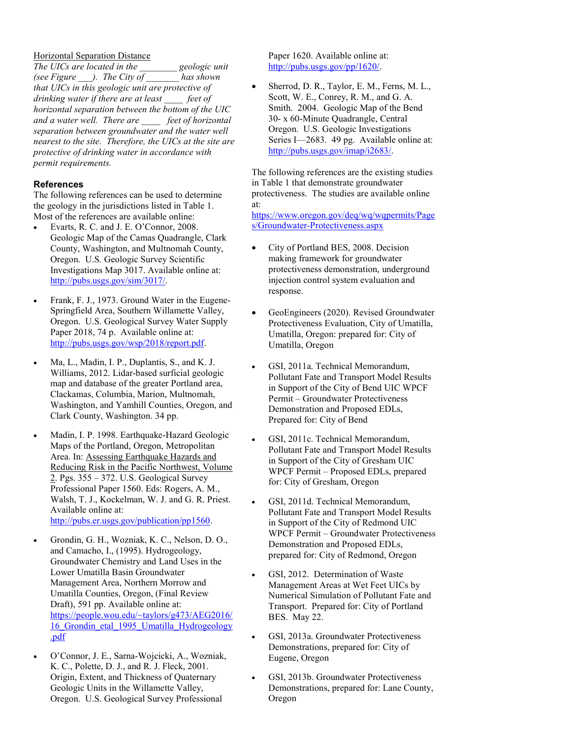### Horizontal Separation Distance

The UICs are located in the geologic unit (see Figure  $\qquad$ ). The City of has shown that UICs in this geologic unit are protective of drinking water if there are at least feet of horizontal separation between the bottom of the UIC and a water well. There are \_\_\_\_ feet of horizontal separation between groundwater and the water well nearest to the site. Therefore, the UICs at the site are protective of drinking water in accordance with permit requirements.

# **References**

The following references can be used to determine the geology in the jurisdictions listed in Table 1. Most of the references are available online:

- Evarts, R. C. and J. E. O'Connor, 2008. Geologic Map of the Camas Quadrangle, Clark County, Washington, and Multnomah County, Oregon. U.S. Geologic Survey Scientific Investigations Map 3017. Available online at: http://pubs.usgs.gov/sim/3017/.
- Frank, F. J., 1973. Ground Water in the Eugene-Springfield Area, Southern Willamette Valley, Oregon. U.S. Geological Survey Water Supply Paper 2018, 74 p. Available online at: http://pubs.usgs.gov/wsp/2018/report.pdf.
- Ma, L., Madin, I. P., Duplantis, S., and K. J. Williams, 2012. Lidar-based surficial geologic map and database of the greater Portland area, Clackamas, Columbia, Marion, Multnomah, Washington, and Yamhill Counties, Oregon, and Clark County, Washington. 34 pp.
- Madin, I. P. 1998. Earthquake-Hazard Geologic Maps of the Portland, Oregon, Metropolitan Area. In: Assessing Earthquake Hazards and Reducing Risk in the Pacific Northwest, Volume 2. Pgs. 355 – 372. U.S. Geological Survey Professional Paper 1560. Eds: Rogers, A. M., Walsh, T. J., Kockelman, W. J. and G. R. Priest. Available online at: http://pubs.er.usgs.gov/publication/pp1560.

- Grondin, G. H., Wozniak, K. C., Nelson, D. O., and Camacho, I., (1995). Hydrogeology, Groundwater Chemistry and Land Uses in the Lower Umatilla Basin Groundwater Management Area, Northern Morrow and Umatilla Counties, Oregon, (Final Review Draft), 591 pp. Available online at: https://people.wou.edu/~taylors/g473/AEG2016/ 16\_Grondin\_etal\_1995\_Umatilla\_Hydrogeology .pdf
- O'Connor, J. E., Sarna-Wojcicki, A., Wozniak, K. C., Polette, D. J., and R. J. Fleck, 2001. Origin, Extent, and Thickness of Quaternary Geologic Units in the Willamette Valley, Oregon. U.S. Geological Survey Professional

Paper 1620. Available online at: http://pubs.usgs.gov/pp/1620/.

 Sherrod, D. R., Taylor, E. M., Ferns, M. L., Scott, W. E., Conrey, R. M., and G. A. Smith. 2004. Geologic Map of the Bend 30- x 60-Minute Quadrangle, Central Oregon. U.S. Geologic Investigations Series I—2683. 49 pg. Available online at: http://pubs.usgs.gov/imap/i2683/.

The following references are the existing studies in Table 1 that demonstrate groundwater protectiveness. The studies are available online at:

https://www.oregon.gov/deq/wq/wqpermits/Page s/Groundwater-Protectiveness.aspx

- City of Portland BES, 2008. Decision making framework for groundwater protectiveness demonstration, underground injection control system evaluation and response.
- GeoEngineers (2020). Revised Groundwater Protectiveness Evaluation, City of Umatilla, Umatilla, Oregon: prepared for: City of Umatilla, Oregon
- GSI, 2011a. Technical Memorandum, Pollutant Fate and Transport Model Results in Support of the City of Bend UIC WPCF Permit – Groundwater Protectiveness Demonstration and Proposed EDLs, Prepared for: City of Bend
- GSI, 2011c. Technical Memorandum, Pollutant Fate and Transport Model Results in Support of the City of Gresham UIC WPCF Permit – Proposed EDLs, prepared for: City of Gresham, Oregon
- GSI, 2011d. Technical Memorandum, Pollutant Fate and Transport Model Results in Support of the City of Redmond UIC WPCF Permit – Groundwater Protectiveness Demonstration and Proposed EDLs, prepared for: City of Redmond, Oregon
- GSI, 2012. Determination of Waste Management Areas at Wet Feet UICs by Numerical Simulation of Pollutant Fate and Transport. Prepared for: City of Portland BES. May 22.
- GSI, 2013a. Groundwater Protectiveness Demonstrations, prepared for: City of Eugene, Oregon
- GSI, 2013b. Groundwater Protectiveness Demonstrations, prepared for: Lane County, Oregon